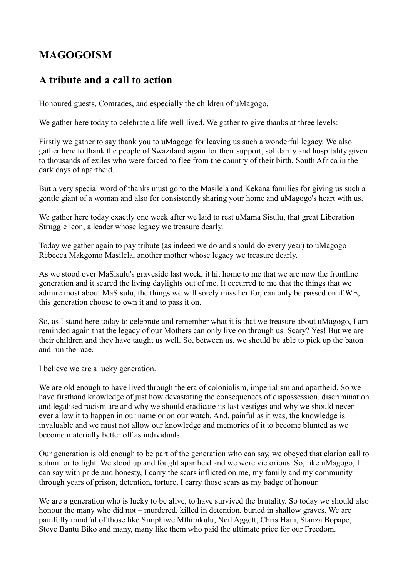## **MAGOGOISM**

## **A tribute and a call to action**

Honoured guests, Comrades, and especially the children of uMagogo,

We gather here today to celebrate a life well lived. We gather to give thanks at three levels:

Firstly we gather to say thank you to uMagogo for leaving us such a wonderful legacy. We also gather here to thank the people of Swaziland again for their support, solidarity and hospitality given to thousands of exiles who were forced to flee from the country of their birth, South Africa in the dark days of apartheid.

But a very special word of thanks must go to the Masilela and Kekana families for giving us such a gentle giant of a woman and also for consistently sharing your home and uMagogo's heart with us.

We gather here today exactly one week after we laid to rest uMama Sisulu, that great Liberation Struggle icon, a leader whose legacy we treasure dearly.

Today we gather again to pay tribute (as indeed we do and should do every year) to uMagogo Rebecca Makgomo Masilela, another mother whose legacy we treasure dearly.

As we stood over MaSisulu's graveside last week, it hit home to me that we are now the frontline generation and it scared the living daylights out of me. It occurred to me that the things that we admire most about MaSisulu, the things we will sorely miss her for, can only be passed on if WE, this generation choose to own it and to pass it on.

So, as I stand here today to celebrate and remember what it is that we treasure about uMagogo, I am reminded again that the legacy of our Mothers can only live on through us. Scary? Yes! But we are their children and they have taught us well. So, between us, we should be able to pick up the baton and run the race.

I believe we are a lucky generation.

We are old enough to have lived through the era of colonialism, imperialism and apartheid. So we have firsthand knowledge of just how devastating the consequences of dispossession, discrimination and legalised racism are and why we should eradicate its last vestiges and why we should never ever allow it to happen in our name or on our watch. And, painful as it was, the knowledge is invaluable and we must not allow our knowledge and memories of it to become blunted as we become materially better off as individuals.

Our generation is old enough to be part of the generation who can say, we obeyed that clarion call to submit or to fight. We stood up and fought apartheid and we were victorious. So, like uMagogo, I can say with pride and honesty, I carry the scars inflicted on me, my family and my community through years of prison, detention, torture, I carry those scars as my badge of honour.

We are a generation who is lucky to be alive, to have survived the brutality. So today we should also honour the many who did not – murdered, killed in detention, buried in shallow graves. We are painfully mindful of those like Simphiwe Mthimkulu, Neil Aggett, Chris Hani, Stanza Bopape, Steve Bantu Biko and many, many like them who paid the ultimate price for our Freedom.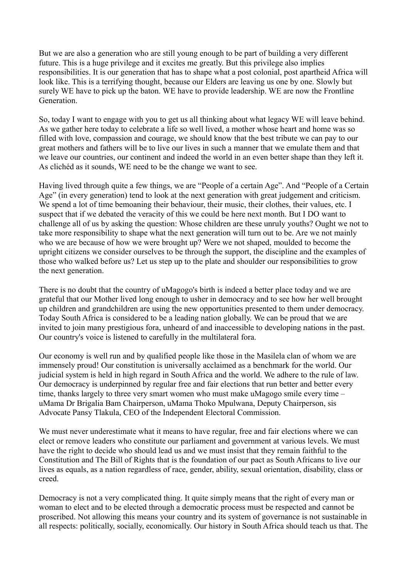But we are also a generation who are still young enough to be part of building a very different future. This is a huge privilege and it excites me greatly. But this privilege also implies responsibilities. It is our generation that has to shape what a post colonial, post apartheid Africa will look like. This is a terrifying thought, because our Elders are leaving us one by one. Slowly but surely WE have to pick up the baton. WE have to provide leadership. WE are now the Frontline Generation.

So, today I want to engage with you to get us all thinking about what legacy WE will leave behind. As we gather here today to celebrate a life so well lived, a mother whose heart and home was so filled with love, compassion and courage, we should know that the best tribute we can pay to our great mothers and fathers will be to live our lives in such a manner that we emulate them and that we leave our countries, our continent and indeed the world in an even better shape than they left it. As clichéd as it sounds, WE need to be the change we want to see.

Having lived through quite a few things, we are "People of a certain Age". And "People of a Certain Age" (in every generation) tend to look at the next generation with great judgement and criticism. We spend a lot of time bemoaning their behaviour, their music, their clothes, their values, etc. I suspect that if we debated the veracity of this we could be here next month. But I DO want to challenge all of us by asking the question: Whose children are these unruly youths? Ought we not to take more responsibility to shape what the next generation will turn out to be. Are we not mainly who we are because of how we were brought up? Were we not shaped, moulded to become the upright citizens we consider ourselves to be through the support, the discipline and the examples of those who walked before us? Let us step up to the plate and shoulder our responsibilities to grow the next generation.

There is no doubt that the country of uMagogo's birth is indeed a better place today and we are grateful that our Mother lived long enough to usher in democracy and to see how her well brought up children and grandchildren are using the new opportunities presented to them under democracy. Today South Africa is considered to be a leading nation globally. We can be proud that we are invited to join many prestigious fora, unheard of and inaccessible to developing nations in the past. Our country's voice is listened to carefully in the multilateral fora.

Our economy is well run and by qualified people like those in the Masilela clan of whom we are immensely proud! Our constitution is universally acclaimed as a benchmark for the world. Our judicial system is held in high regard in South Africa and the world. We adhere to the rule of law. Our democracy is underpinned by regular free and fair elections that run better and better every time, thanks largely to three very smart women who must make uMagogo smile every time – uMama Dr Brigalia Bam Chairperson, uMama Thoko Mpulwana, Deputy Chairperson, sis Advocate Pansy Tlakula, CEO of the Independent Electoral Commission.

We must never underestimate what it means to have regular, free and fair elections where we can elect or remove leaders who constitute our parliament and government at various levels. We must have the right to decide who should lead us and we must insist that they remain faithful to the Constitution and The Bill of Rights that is the foundation of our pact as South Africans to live our lives as equals, as a nation regardless of race, gender, ability, sexual orientation, disability, class or creed.

Democracy is not a very complicated thing. It quite simply means that the right of every man or woman to elect and to be elected through a democratic process must be respected and cannot be proscribed. Not allowing this means your country and its system of governance is not sustainable in all respects: politically, socially, economically. Our history in South Africa should teach us that. The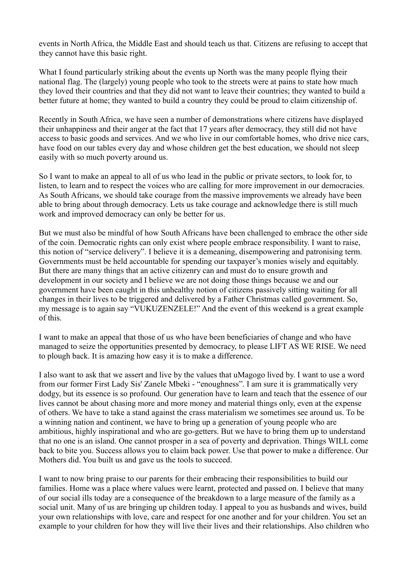events in North Africa, the Middle East and should teach us that. Citizens are refusing to accept that they cannot have this basic right.

What I found particularly striking about the events up North was the many people flying their national flag. The (largely) young people who took to the streets were at pains to state how much they loved their countries and that they did not want to leave their countries; they wanted to build a better future at home; they wanted to build a country they could be proud to claim citizenship of.

Recently in South Africa, we have seen a number of demonstrations where citizens have displayed their unhappiness and their anger at the fact that 17 years after democracy, they still did not have access to basic goods and services. And we who live in our comfortable homes, who drive nice cars, have food on our tables every day and whose children get the best education, we should not sleep easily with so much poverty around us.

So I want to make an appeal to all of us who lead in the public or private sectors, to look for, to listen, to learn and to respect the voices who are calling for more improvement in our democracies. As South Africans, we should take courage from the massive improvements we already have been able to bring about through democracy. Lets us take courage and acknowledge there is still much work and improved democracy can only be better for us.

But we must also be mindful of how South Africans have been challenged to embrace the other side of the coin. Democratic rights can only exist where people embrace responsibility. I want to raise, this notion of "service delivery". I believe it is a demeaning, disempowering and patronising term. Governments must be held accountable for spending our taxpayer's monies wisely and equitably. But there are many things that an active citizenry can and must do to ensure growth and development in our society and I believe we are not doing those things because we and our government have been caught in this unhealthy notion of citizens passively sitting waiting for all changes in their lives to be triggered and delivered by a Father Christmas called government. So, my message is to again say "VUKUZENZELE!" And the event of this weekend is a great example of this.

I want to make an appeal that those of us who have been beneficiaries of change and who have managed to seize the opportunities presented by democracy, to please LIFT AS WE RISE. We need to plough back. It is amazing how easy it is to make a difference.

I also want to ask that we assert and live by the values that uMagogo lived by. I want to use a word from our former First Lady Sis' Zanele Mbeki - "enoughness". I am sure it is grammatically very dodgy, but its essence is so profound. Our generation have to learn and teach that the essence of our lives cannot be about chasing more and more money and material things only, even at the expense of others. We have to take a stand against the crass materialism we sometimes see around us. To be a winning nation and continent, we have to bring up a generation of young people who are ambitious, highly inspirational and who are go-getters. But we have to bring them up to understand that no one is an island. One cannot prosper in a sea of poverty and deprivation. Things WILL come back to bite you. Success allows you to claim back power. Use that power to make a difference. Our Mothers did. You built us and gave us the tools to succeed.

I want to now bring praise to our parents for their embracing their responsibilities to build our families. Home was a place where values were learnt, protected and passed on. I believe that many of our social ills today are a consequence of the breakdown to a large measure of the family as a social unit. Many of us are bringing up children today. I appeal to you as husbands and wives, build your own relationships with love, care and respect for one another and for your children. You set an example to your children for how they will live their lives and their relationships. Also children who